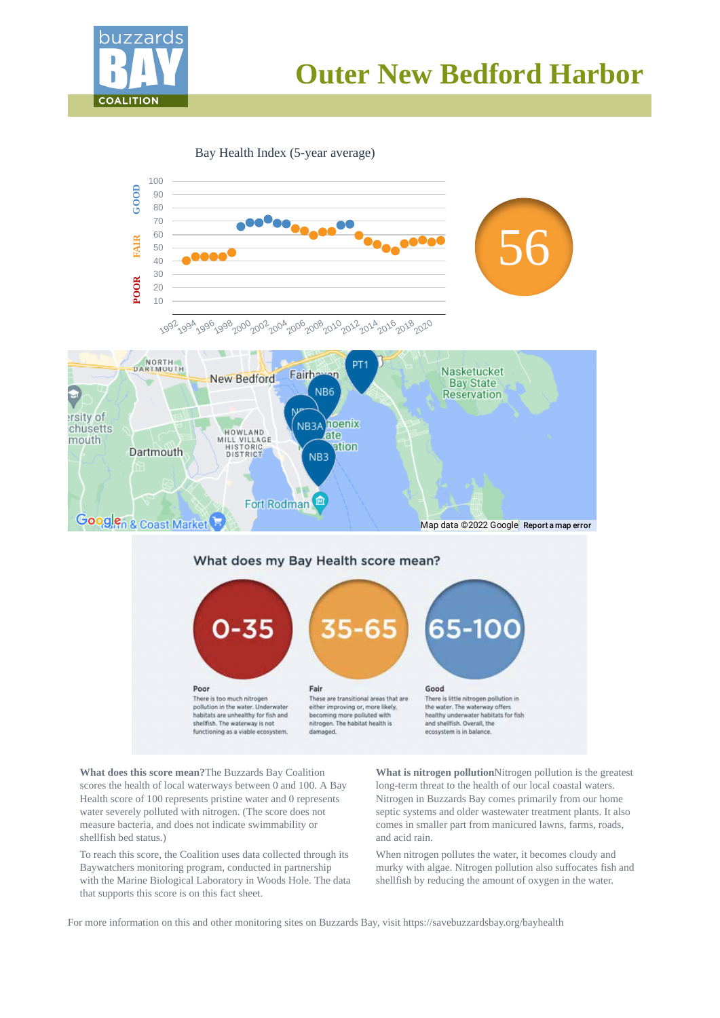

# **Outer New Bedford Harbor**

Bay Health Index (5-year average)



**What does this score mean?**The Buzzards Bay Coalition scores the health of local waterways between 0 and 100. A Bay Health score of 100 represents pristine water and 0 represents water severely polluted with nitrogen. (The score does not measure bacteria, and does not indicate swimmability or shellfish bed status.)

To reach this score, the Coalition uses data collected through its Baywatchers monitoring program, conducted in partnership with the Marine Biological Laboratory in Woods Hole. The data that supports this score is on this fact sheet.

**What is nitrogen pollution**Nitrogen pollution is the greatest long-term threat to the health of our local coastal waters. Nitrogen in Buzzards Bay comes primarily from our home septic systems and older wastewater treatment plants. It also comes in smaller part from manicured lawns, farms, roads, and acid rain.

When nitrogen pollutes the water, it becomes cloudy and murky with algae. Nitrogen pollution also suffocates fish and shellfish by reducing the amount of oxygen in the water.

For more information on this and other monitoring sites on Buzzards Bay, visit https://savebuzzardsbay.org/bayhealth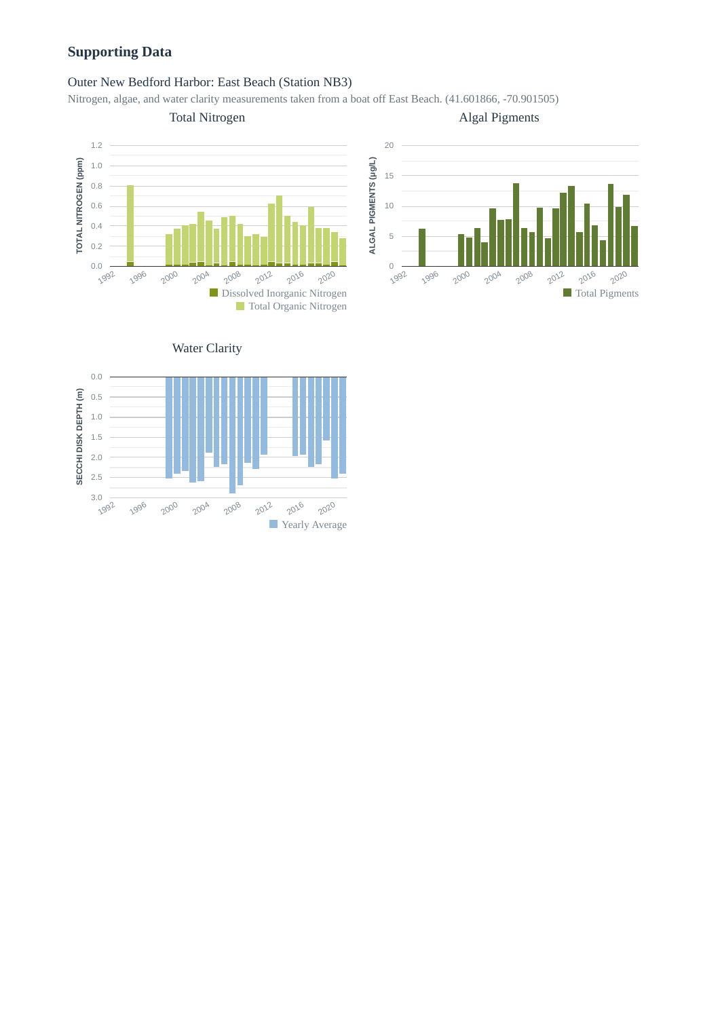# **Supporting Data**

# Outer New Bedford Harbor: East Beach (Station NB3)

Nitrogen, algae, and water clarity measurements taken from a boat off East Beach. (41.601866, -70.901505)





Algal Pigments



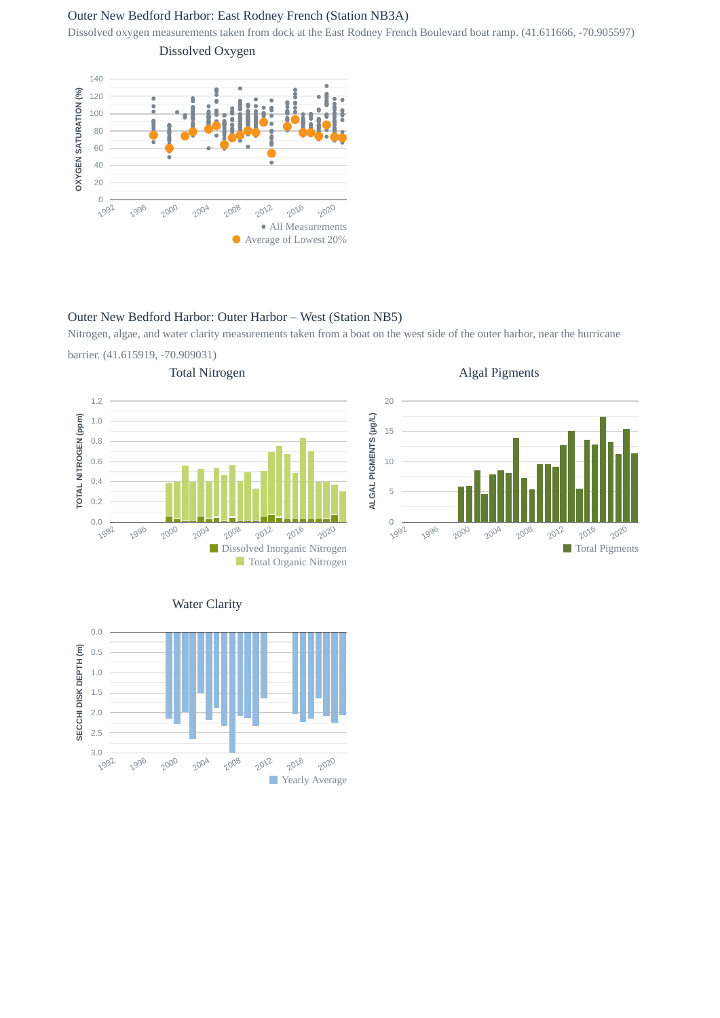# Outer New Bedford Harbor: East Rodney French (Station NB3A)

Dissolved oxygen measurements taken from dock at the East Rodney French Boulevard boat ramp. (41.611666, -70.905597)

Dissolved Oxygen



# Outer New Bedford Harbor: Outer Harbor – West (Station NB5)

Nitrogen, algae, and water clarity measurements taken from a boat on the west side of the outer harbor, near the hurricane barrier. (41.615919, -70.909031)



Algal Pigments





0.0

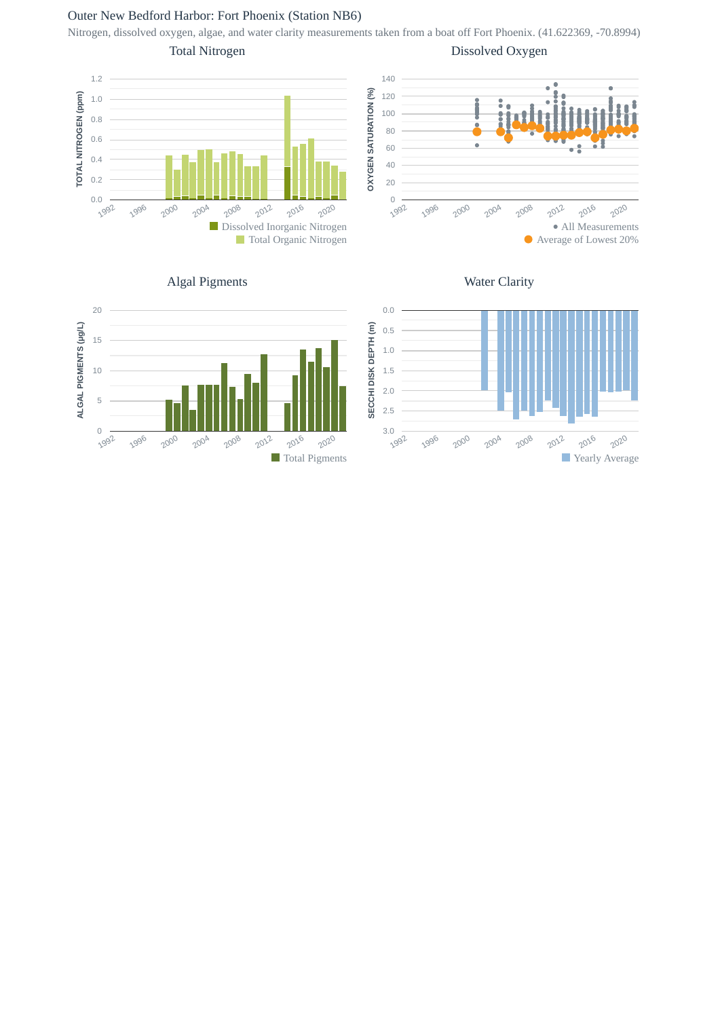# Outer New Bedford Harbor: Fort Phoenix (Station NB6)

Nitrogen, dissolved oxygen, algae, and water clarity measurements taken from a boat off Fort Phoenix. (41.622369, -70.8994)

Total Nitrogen

Dissolved Oxygen











Water Clarity